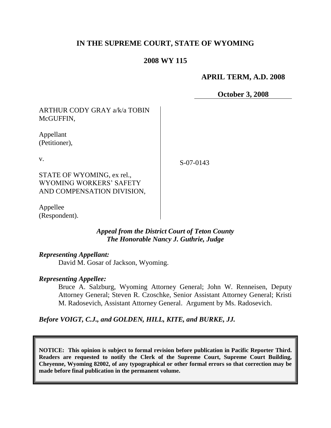# **IN THE SUPREME COURT, STATE OF WYOMING**

## **2008 WY 115**

### **APRIL TERM, A.D. 2008**

**October 3, 2008**

ARTHUR CODY GRAY a/k/a TOBIN McGUFFIN,

Appellant (Petitioner),

v.

S-07-0143

STATE OF WYOMING, ex rel., WYOMING WORKERS" SAFETY AND COMPENSATION DIVISION,

Appellee (Respondent).

### *Appeal from the District Court of Teton County The Honorable Nancy J. Guthrie, Judge*

### *Representing Appellant:*

David M. Gosar of Jackson, Wyoming.

#### *Representing Appellee:*

Bruce A. Salzburg, Wyoming Attorney General; John W. Renneisen, Deputy Attorney General; Steven R. Czoschke, Senior Assistant Attorney General; Kristi M. Radosevich, Assistant Attorney General. Argument by Ms. Radosevich.

*Before VOIGT, C.J., and GOLDEN, HILL, KITE, and BURKE, JJ.*

**NOTICE: This opinion is subject to formal revision before publication in Pacific Reporter Third. Readers are requested to notify the Clerk of the Supreme Court, Supreme Court Building, Cheyenne, Wyoming 82002, of any typographical or other formal errors so that correction may be made before final publication in the permanent volume.**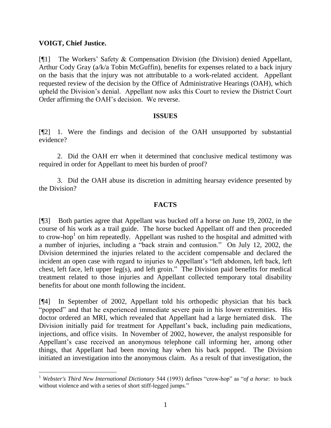### **VOIGT, Chief Justice.**

[¶1] The Workers" Safety & Compensation Division (the Division) denied Appellant, Arthur Cody Gray (a/k/a Tobin McGuffin), benefits for expenses related to a back injury on the basis that the injury was not attributable to a work-related accident. Appellant requested review of the decision by the Office of Administrative Hearings (OAH), which upheld the Division"s denial. Appellant now asks this Court to review the District Court Order affirming the OAH"s decision. We reverse.

#### **ISSUES**

[¶2] 1. Were the findings and decision of the OAH unsupported by substantial evidence?

2. Did the OAH err when it determined that conclusive medical testimony was required in order for Appellant to meet his burden of proof?

3. Did the OAH abuse its discretion in admitting hearsay evidence presented by the Division?

# **FACTS**

[¶3] Both parties agree that Appellant was bucked off a horse on June 19, 2002, in the course of his work as a trail guide. The horse bucked Appellant off and then proceeded to crow-hop<sup>1</sup> on him repeatedly. Appellant was rushed to the hospital and admitted with a number of injuries, including a "back strain and contusion." On July 12, 2002, the Division determined the injuries related to the accident compensable and declared the incident an open case with regard to injuries to Appellant's "left abdomen, left back, left chest, left face, left upper leg(s), and left groin." The Division paid benefits for medical treatment related to those injuries and Appellant collected temporary total disability benefits for about one month following the incident.

[¶4] In September of 2002, Appellant told his orthopedic physician that his back "popped" and that he experienced immediate severe pain in his lower extremities. His doctor ordered an MRI, which revealed that Appellant had a large herniated disk. The Division initially paid for treatment for Appellant's back, including pain medications, injections, and office visits. In November of 2002, however, the analyst responsible for Appellant"s case received an anonymous telephone call informing her, among other things, that Appellant had been moving hay when his back popped. The Division initiated an investigation into the anonymous claim. As a result of that investigation, the

<sup>1</sup> *Webster's Third New International Dictionary* 544 (1993) defines "crow-hop" as "*of a horse*: to buck without violence and with a series of short stiff-legged jumps."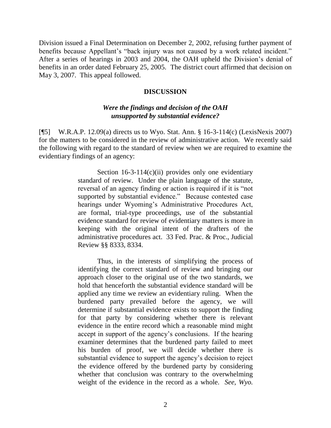Division issued a Final Determination on December 2, 2002, refusing further payment of benefits because Appellant's "back injury was not caused by a work related incident." After a series of hearings in 2003 and 2004, the OAH upheld the Division"s denial of benefits in an order dated February 25, 2005. The district court affirmed that decision on May 3, 2007. This appeal followed.

#### **DISCUSSION**

## *Were the findings and decision of the OAH unsupported by substantial evidence?*

[¶5] W.R.A.P. 12.09(a) directs us to Wyo. Stat. Ann. § 16-3-114(c) (LexisNexis 2007) for the matters to be considered in the review of administrative action. We recently said the following with regard to the standard of review when we are required to examine the evidentiary findings of an agency:

> Section  $16-3-114(c)(ii)$  provides only one evidentiary standard of review. Under the plain language of the statute, reversal of an agency finding or action is required if it is "not supported by substantial evidence." Because contested case hearings under Wyoming's Administrative Procedures Act, are formal, trial-type proceedings, use of the substantial evidence standard for review of evidentiary matters is more in keeping with the original intent of the drafters of the administrative procedures act. 33 Fed. Prac. & Proc., Judicial Review §§ 8333, 8334.

> Thus, in the interests of simplifying the process of identifying the correct standard of review and bringing our approach closer to the original use of the two standards, we hold that henceforth the substantial evidence standard will be applied any time we review an evidentiary ruling. When the burdened party prevailed before the agency, we will determine if substantial evidence exists to support the finding for that party by considering whether there is relevant evidence in the entire record which a reasonable mind might accept in support of the agency"s conclusions. If the hearing examiner determines that the burdened party failed to meet his burden of proof, we will decide whether there is substantial evidence to support the agency"s decision to reject the evidence offered by the burdened party by considering whether that conclusion was contrary to the overwhelming weight of the evidence in the record as a whole. *See, Wyo.*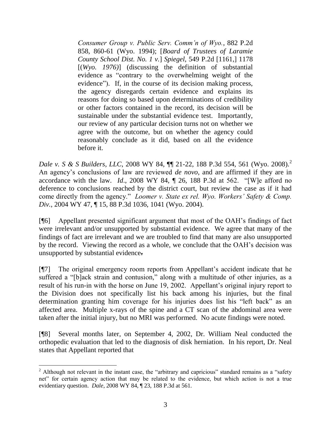*Consumer Group v. Public Serv. Comm'n of Wyo.*, 882 P.2d 858, 860-61 (Wyo. 1994); [*Board of Trustees of Laramie County School Dist. No. 1 v.*] *Spiegel*, 549 P.2d [1161,] 1178 [(*Wyo. 1976)*] (discussing the definition of substantial evidence as "contrary to the overwhelming weight of the evidence"). If, in the course of its decision making process, the agency disregards certain evidence and explains its reasons for doing so based upon determinations of credibility or other factors contained in the record, its decision will be sustainable under the substantial evidence test. Importantly, our review of any particular decision turns not on whether we agree with the outcome, but on whether the agency could reasonably conclude as it did, based on all the evidence before it.

*Dale v. S & S Builders, LLC*, 2008 WY 84,  $\P$  21-22, 188 P.3d 554, 561 (Wyo. 2008).<sup>2</sup> An agency"s conclusions of law are reviewed *de novo*, and are affirmed if they are in accordance with the law. *Id*., 2008 WY 84, ¶ 26, 188 P.3d at 562. "[W]e afford no deference to conclusions reached by the district court, but review the case as if it had come directly from the agency." *Loomer v. State ex rel. Wyo. Workers' Safety & Comp. Div.*, 2004 WY 47, ¶ 15, 88 P.3d 1036, 1041 (Wyo. 2004).

[¶6] Appellant presented significant argument that most of the OAH"s findings of fact were irrelevant and/or unsupported by substantial evidence. We agree that many of the findings of fact are irrelevant and we are troubled to find that many are also unsupported by the record. Viewing the record as a whole, we conclude that the OAH"s decision was unsupported by substantial evidence.

[¶7] The original emergency room reports from Appellant"s accident indicate that he suffered a "[b]ack strain and contusion," along with a multitude of other injuries, as a result of his run-in with the horse on June 19, 2002. Appellant's original injury report to the Division does not specifically list his back among his injuries, but the final determination granting him coverage for his injuries does list his "left back" as an affected area. Multiple x-rays of the spine and a CT scan of the abdominal area were taken after the initial injury, but no MRI was performed. No acute findings were noted.

[¶8] Several months later, on September 4, 2002, Dr. William Neal conducted the orthopedic evaluation that led to the diagnosis of disk herniation. In his report, Dr. Neal states that Appellant reported that

 $2$  Although not relevant in the instant case, the "arbitrary and capricious" standard remains as a "safety" net" for certain agency action that may be related to the evidence, but which action is not a true evidentiary question. *Dale*, 2008 WY 84, ¶ 23, 188 P.3d at 561.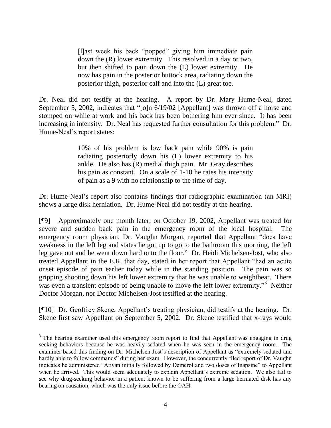[l]ast week his back "popped" giving him immediate pain down the (R) lower extremity. This resolved in a day or two, but then shifted to pain down the (L) lower extremity. He now has pain in the posterior buttock area, radiating down the posterior thigh, posterior calf and into the (L) great toe.

Dr. Neal did not testify at the hearing. A report by Dr. Mary Hume-Neal, dated September 5, 2002, indicates that "[o]n 6/19/02 [Appellant] was thrown off a horse and stomped on while at work and his back has been bothering him ever since. It has been increasing in intensity. Dr. Neal has requested further consultation for this problem." Dr. Hume-Neal"s report states:

> 10% of his problem is low back pain while 90% is pain radiating posteriorly down his (L) lower extremity to his ankle. He also has (R) medial thigh pain. Mr. Gray describes his pain as constant. On a scale of 1-10 he rates his intensity of pain as a 9 with no relationship to the time of day.

Dr. Hume-Neal"s report also contains findings that radiographic examination (an MRI) shows a large disk herniation. Dr. Hume-Neal did not testify at the hearing.

[¶9] Approximately one month later, on October 19, 2002, Appellant was treated for severe and sudden back pain in the emergency room of the local hospital. The emergency room physician, Dr. Vaughn Morgan, reported that Appellant "does have weakness in the left leg and states he got up to go to the bathroom this morning, the left leg gave out and he went down hard onto the floor." Dr. Heidi Michelsen-Jost, who also treated Appellant in the E.R. that day, stated in her report that Appellant "had an acute onset episode of pain earlier today while in the standing position. The pain was so gripping shooting down his left lower extremity that he was unable to weightbear. There was even a transient episode of being unable to move the left lower extremity."<sup>3</sup> Neither Doctor Morgan, nor Doctor Michelsen-Jost testified at the hearing.

[¶10] Dr. Geoffrey Skene, Appellant"s treating physician, did testify at the hearing. Dr. Skene first saw Appellant on September 5, 2002. Dr. Skene testified that x-rays would

 $\overline{a}$ 

<sup>&</sup>lt;sup>3</sup> The hearing examiner used this emergency room report to find that Appellant was engaging in drug seeking behaviors because he was heavily sedated when he was seen in the emergency room. The examiner based this finding on Dr. Michelsen-Jost"s description of Appellant as "extremely sedated and hardly able to follow commands" during her exam. However, the concurrently filed report of Dr. Vaughn indicates he administered "Ativan initially followed by Demerol and two doses of Inapsine" to Appellant when he arrived. This would seem adequately to explain Appellant's extreme sedation. We also fail to see why drug-seeking behavior in a patient known to be suffering from a large herniated disk has any bearing on causation, which was the only issue before the OAH.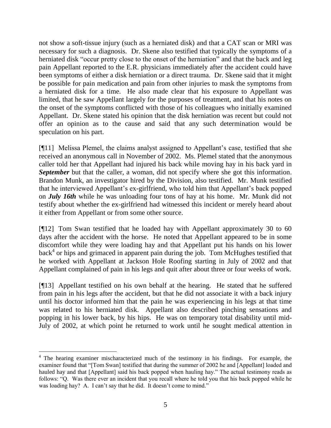not show a soft-tissue injury (such as a herniated disk) and that a CAT scan or MRI was necessary for such a diagnosis. Dr. Skene also testified that typically the symptoms of a herniated disk "occur pretty close to the onset of the herniation" and that the back and leg pain Appellant reported to the E.R. physicians immediately after the accident could have been symptoms of either a disk herniation or a direct trauma. Dr. Skene said that it might be possible for pain medication and pain from other injuries to mask the symptoms from a herniated disk for a time. He also made clear that his exposure to Appellant was limited, that he saw Appellant largely for the purposes of treatment, and that his notes on the onset of the symptoms conflicted with those of his colleagues who initially examined Appellant. Dr. Skene stated his opinion that the disk herniation was recent but could not offer an opinion as to the cause and said that any such determination would be speculation on his part.

[¶11] Melissa Plemel, the claims analyst assigned to Appellant's case, testified that she received an anonymous call in November of 2002. Ms. Plemel stated that the anonymous caller told her that Appellant had injured his back while moving hay in his back yard in *September* but that the caller, a woman, did not specify where she got this information. Brandon Munk, an investigator hired by the Division, also testified. Mr. Munk testified that he interviewed Appellant"s ex-girlfriend, who told him that Appellant"s back popped on *July 16th* while he was unloading four tons of hay at his home. Mr. Munk did not testify about whether the ex-girlfriend had witnessed this incident or merely heard about it either from Appellant or from some other source.

[¶12] Tom Swan testified that he loaded hay with Appellant approximately 30 to 60 days after the accident with the horse. He noted that Appellant appeared to be in some discomfort while they were loading hay and that Appellant put his hands on his lower back<sup>4</sup> or hips and grimaced in apparent pain during the job. Tom McHughes testified that he worked with Appellant at Jackson Hole Roofing starting in July of 2002 and that Appellant complained of pain in his legs and quit after about three or four weeks of work.

[¶13] Appellant testified on his own behalf at the hearing. He stated that he suffered from pain in his legs after the accident, but that he did not associate it with a back injury until his doctor informed him that the pain he was experiencing in his legs at that time was related to his herniated disk. Appellant also described pinching sensations and popping in his lower back, by his hips. He was on temporary total disability until mid-July of 2002, at which point he returned to work until he sought medical attention in

 $\overline{a}$ 

<sup>&</sup>lt;sup>4</sup> The hearing examiner mischaracterized much of the testimony in his findings. For example, the examiner found that "[Tom Swan] testified that during the summer of 2002 he and [Appellant] loaded and hauled hay and that [Appellant] said his back popped when hauling hay." The actual testimony reads as follows: "Q. Was there ever an incident that you recall where he told you that his back popped while he was loading hay? A. I can't say that he did. It doesn't come to mind."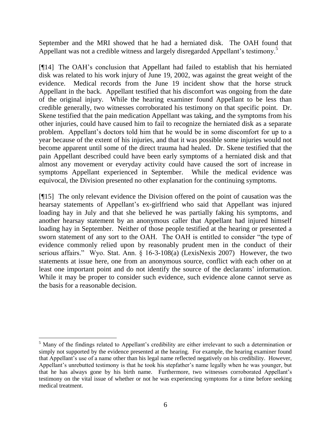September and the MRI showed that he had a herniated disk. The OAH found that Appellant was not a credible witness and largely disregarded Appellant's testimony.<sup>5</sup>

[¶14] The OAH"s conclusion that Appellant had failed to establish that his herniated disk was related to his work injury of June 19, 2002, was against the great weight of the evidence. Medical records from the June 19 incident show that the horse struck Appellant in the back. Appellant testified that his discomfort was ongoing from the date of the original injury. While the hearing examiner found Appellant to be less than credible generally, two witnesses corroborated his testimony on that specific point. Dr. Skene testified that the pain medication Appellant was taking, and the symptoms from his other injuries, could have caused him to fail to recognize the herniated disk as a separate problem. Appellant"s doctors told him that he would be in some discomfort for up to a year because of the extent of his injuries, and that it was possible some injuries would not become apparent until some of the direct trauma had healed. Dr. Skene testified that the pain Appellant described could have been early symptoms of a herniated disk and that almost any movement or everyday activity could have caused the sort of increase in symptoms Appellant experienced in September. While the medical evidence was equivocal, the Division presented no other explanation for the continuing symptoms.

[¶15] The only relevant evidence the Division offered on the point of causation was the hearsay statements of Appellant"s ex-girlfriend who said that Appellant was injured loading hay in July and that she believed he was partially faking his symptoms, and another hearsay statement by an anonymous caller that Appellant had injured himself loading hay in September. Neither of those people testified at the hearing or presented a sworn statement of any sort to the OAH. The OAH is entitled to consider "the type of evidence commonly relied upon by reasonably prudent men in the conduct of their serious affairs." Wyo. Stat. Ann. § 16-3-108(a) (LexisNexis 2007) However, the two statements at issue here, one from an anonymous source, conflict with each other on at least one important point and do not identify the source of the declarants' information. While it may be proper to consider such evidence, such evidence alone cannot serve as the basis for a reasonable decision.

 $\overline{a}$ 

<sup>&</sup>lt;sup>5</sup> Many of the findings related to Appellant's credibility are either irrelevant to such a determination or simply not supported by the evidence presented at the hearing. For example, the hearing examiner found that Appellant"s use of a name other than his legal name reflected negatively on his credibility. However, Appellant's unrebutted testimony is that he took his stepfather's name legally when he was younger, but that he has always gone by his birth name. Furthermore, two witnesses corroborated Appellant"s testimony on the vital issue of whether or not he was experiencing symptoms for a time before seeking medical treatment.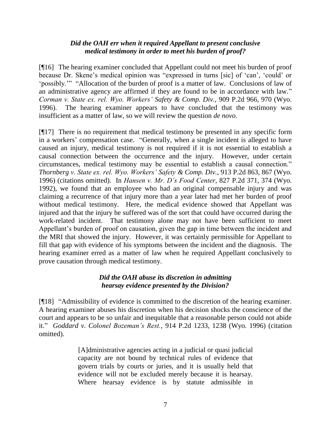# *Did the OAH err when it required Appellant to present conclusive medical testimony in order to meet his burden of proof?*

[¶16] The hearing examiner concluded that Appellant could not meet his burden of proof because Dr. Skene's medical opinion was "expressed in turns [sic] of 'can', 'could' or "possibly."" "Allocation of the burden of proof is a matter of law. Conclusions of law of an administrative agency are affirmed if they are found to be in accordance with law." *Corman v. State ex. rel. Wyo. Workers' Safety & Comp. Div.*, 909 P.2d 966, 970 (Wyo. 1996).The hearing examiner appears to have concluded that the testimony was insufficient as a matter of law, so we will review the question *de novo*.

[¶17] There is no requirement that medical testimony be presented in any specific form in a workers" compensation case. "Generally, when a single incident is alleged to have caused an injury, medical testimony is not required if it is not essential to establish a causal connection between the occurrence and the injury. However, under certain circumstances, medical testimony may be essential to establish a causal connection." *Thornberg v. State ex. rel. Wyo. Workers' Safety & Comp. Div.*, 913 P.2d 863, 867 (Wyo. 1996) (citations omitted). In *Hansen v. Mr. D's Food Center*, 827 P.2d 371, 374 (Wyo. 1992), we found that an employee who had an original compensable injury and was claiming a recurrence of that injury more than a year later had met her burden of proof without medical testimony. Here, the medical evidence showed that Appellant was injured and that the injury he suffered was of the sort that could have occurred during the work-related incident. That testimony alone may not have been sufficient to meet Appellant"s burden of proof on causation, given the gap in time between the incident and the MRI that showed the injury. However, it was certainly permissible for Appellant to fill that gap with evidence of his symptoms between the incident and the diagnosis. The hearing examiner erred as a matter of law when he required Appellant conclusively to prove causation through medical testimony.

# *Did the OAH abuse its discretion in admitting hearsay evidence presented by the Division?*

[¶18] "Admissibility of evidence is committed to the discretion of the hearing examiner. A hearing examiner abuses his discretion when his decision shocks the conscience of the court and appears to be so unfair and inequitable that a reasonable person could not abide it." *Goddard v. Colonel Bozeman's Rest.*, 914 P.2d 1233, 1238 (Wyo. 1996) (citation omitted).

> [A]dministrative agencies acting in a judicial or quasi judicial capacity are not bound by technical rules of evidence that govern trials by courts or juries, and it is usually held that evidence will not be excluded merely because it is hearsay. Where hearsay evidence is by statute admissible in